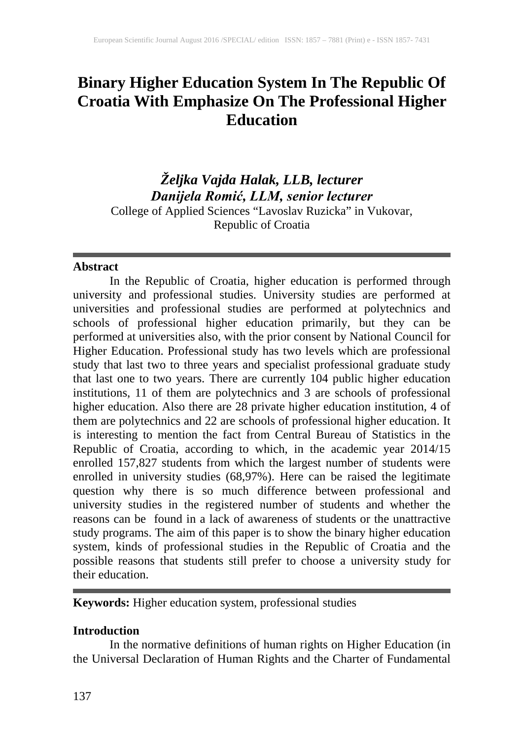# **Binary Higher Education System In The Republic Of Croatia With Emphasize On The Professional Higher Education**

*Željka Vajda Halak, LLB, lecturer Danijela Romić, LLM, senior lecturer* College of Applied Sciences "Lavoslav Ruzicka" in Vukovar, Republic of Croatia

#### **Abstract**

In the Republic of Croatia, higher education is performed through university and professional studies. University studies are performed at universities and professional studies are performed at polytechnics and schools of professional higher education primarily, but they can be performed at universities also, with the prior consent by National Council for Higher Education. Professional study has two levels which are professional study that last two to three years and specialist professional graduate study that last one to two years. There are currently 104 public higher education institutions, 11 of them are polytechnics and 3 are schools of professional higher education. Also there are 28 private higher education institution, 4 of them are polytechnics and 22 are schools of professional higher education. It is interesting to mention the fact from Central Bureau of Statistics in the Republic of Croatia, according to which, in the academic year 2014/15 enrolled 157,827 students from which the largest number of students were enrolled in university studies (68,97%). Here can be raised the legitimate question why there is so much difference between professional and university studies in the registered number of students and whether the reasons can be found in a lack of awareness of students or the unattractive study programs. The aim of this paper is to show the binary higher education system, kinds of professional studies in the Republic of Croatia and the possible reasons that students still prefer to choose a university study for their education.

**Keywords:** Higher education system, professional studies

# **Introduction**

In the normative definitions of human rights on Higher Education (in the Universal Declaration of Human Rights and the Charter of Fundamental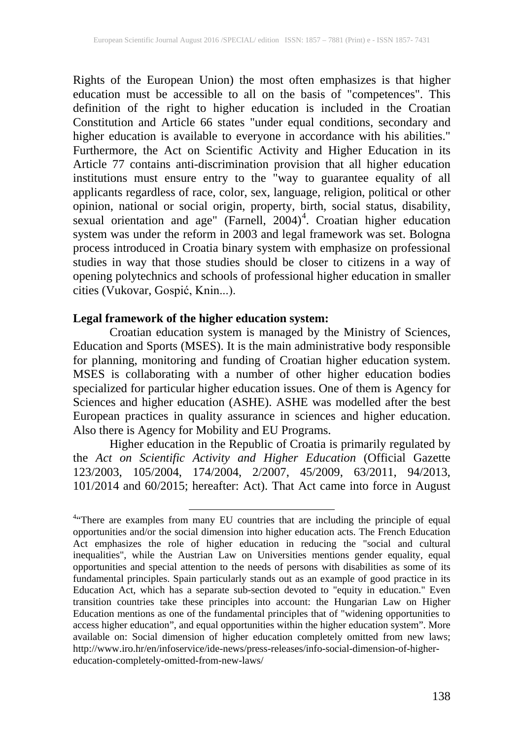Rights of the European Union) the most often emphasizes is that higher education must be accessible to all on the basis of "competences". This definition of the right to higher education is included in the Croatian Constitution and Article 66 states "under equal conditions, secondary and higher education is available to everyone in accordance with his abilities." Furthermore, the Act on Scientific Activity and Higher Education in its Article 77 contains anti-discrimination provision that all higher education institutions must ensure entry to the "way to guarantee equality of all applicants regardless of race, color, sex, language, religion, political or other opinion, national or social origin, property, birth, social status, disability, sexual orientation and age" (Farnell, 200[4](#page--1-0))<sup>4</sup>. Croatian higher education system was under the reform in 2003 and legal framework was set. Bologna process introduced in Croatia binary system with emphasize on professional studies in way that those studies should be closer to citizens in a way of opening polytechnics and schools of professional higher education in smaller cities (Vukovar, Gospić, Knin...).

## **Legal framework of the higher education system:**

Croatian education system is managed by the Ministry of Sciences, Education and Sports (MSES). It is the main administrative body responsible for planning, monitoring and funding of Croatian higher education system. MSES is collaborating with a number of other higher education bodies specialized for particular higher education issues. One of them is Agency for Sciences and higher education (ASHE). ASHE was modelled after the best European practices in quality assurance in sciences and higher education. Also there is Agency for Mobility and EU Programs.

Higher education in the Republic of Croatia is primarily regulated by the *Act on Scientific Activity and Higher Education* (Official Gazette 123/2003, 105/2004, 174/2004, 2/2007, 45/2009, 63/2011, 94/2013, 101/2014 and 60/2015; hereafter: Act). That Act came into force in August

<span id="page-1-0"></span><sup>&</sup>lt;sup>4.</sup> There are examples from many EU countries that are including the principle of equal opportunities and/or the social dimension into higher education acts. The French Education Act emphasizes the role of higher education in reducing the "social and cultural inequalities", while the Austrian Law on Universities mentions gender equality, equal opportunities and special attention to the needs of persons with disabilities as some of its fundamental principles. Spain particularly stands out as an example of good practice in its Education Act, which has a separate sub-section devoted to "equity in education." Even transition countries take these principles into account: the Hungarian Law on Higher Education mentions as one of the fundamental principles that of "widening opportunities to access higher education", and equal opportunities within the higher education system". More available on: Social dimension of higher education completely omitted from new laws; http://www.iro.hr/en/infoservice/ide-news/press-releases/info-social-dimension-of-highereducation-completely-omitted-from-new-laws/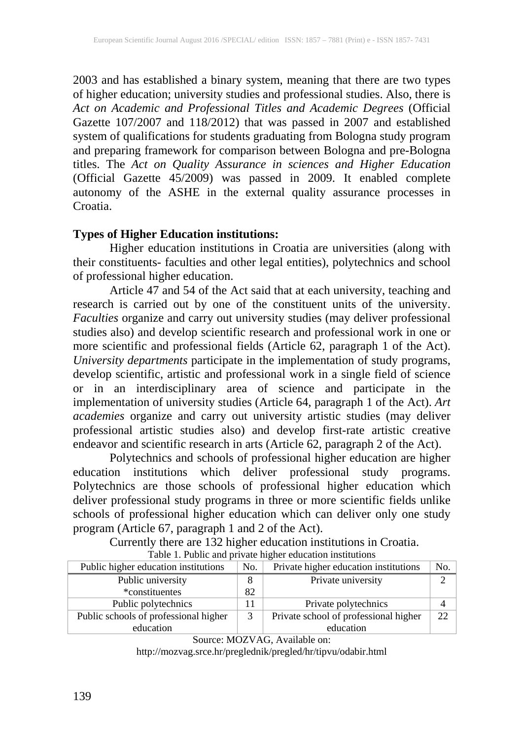2003 and has established a binary system, meaning that there are two types of higher education; university studies and professional studies. Also, there is *Act on Academic and Professional Titles and Academic Degrees* (Official Gazette 107/2007 and 118/2012) that was passed in 2007 and established system of qualifications for students graduating from Bologna study program and preparing framework for comparison between Bologna and pre-Bologna titles. The *Act on Quality Assurance in sciences and Higher Education* (Official Gazette 45/2009) was passed in 2009. It enabled complete autonomy of the ASHE in the external quality assurance processes in Croatia.

#### **Types of Higher Education institutions:**

Higher education institutions in Croatia are universities (along with their constituents- faculties and other legal entities), polytechnics and school of professional higher education.

Article 47 and 54 of the Act said that at each university, teaching and research is carried out by one of the constituent units of the university. *Faculties* organize and carry out university studies (may deliver professional studies also) and develop scientific research and professional work in one or more scientific and professional fields (Article 62, paragraph 1 of the Act). *University departments* participate in the implementation of study programs, develop scientific, artistic and professional work in a single field of science or in an interdisciplinary area of science and participate in the implementation of university studies (Article 64, paragraph 1 of the Act). *Art academies* organize and carry out university artistic studies (may deliver professional artistic studies also) and develop first-rate artistic creative endeavor and scientific research in arts (Article 62, paragraph 2 of the Act).

Polytechnics and schools of professional higher education are higher education institutions which deliver professional study programs. Polytechnics are those schools of professional higher education which deliver professional study programs in three or more scientific fields unlike schools of professional higher education which can deliver only one study program (Article 67, paragraph 1 and 2 of the Act).

Currently there are 132 higher education institutions in Croatia. Table 1. Public and private higher education institutions

| Public higher education institutions  |    | Private higher education institutions | No. |
|---------------------------------------|----|---------------------------------------|-----|
| Public university                     |    | Private university                    |     |
| *constituentes                        | 82 |                                       |     |
| Public polytechnics                   |    | Private polytechnics                  |     |
| Public schools of professional higher |    | Private school of professional higher | 22  |
| education                             |    | education                             |     |

Source: MOZVAG, Available on:

http://mozvag.srce.hr/preglednik/pregled/hr/tipvu/odabir.html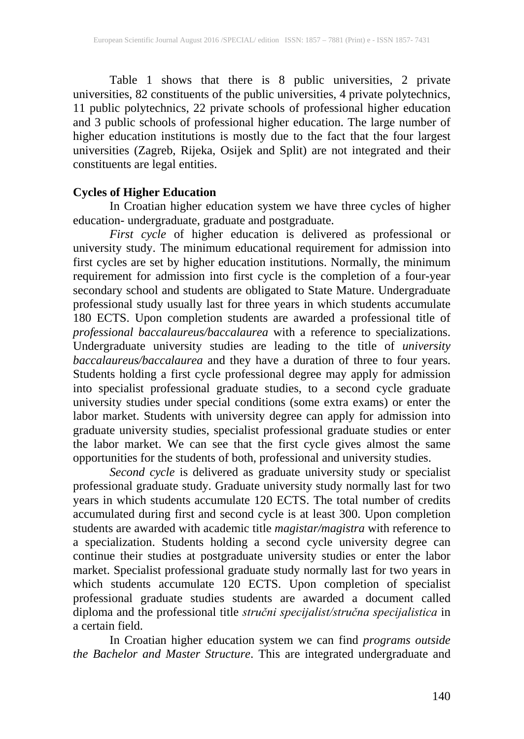Table 1 shows that there is 8 public universities, 2 private universities, 82 constituents of the public universities, 4 private polytechnics, 11 public polytechnics, 22 private schools of professional higher education and 3 public schools of professional higher education. The large number of higher education institutions is mostly due to the fact that the four largest universities (Zagreb, Rijeka, Osijek and Split) are not integrated and their constituents are legal entities.

### **Cycles of Higher Education**

In Croatian higher education system we have three cycles of higher education- undergraduate, graduate and postgraduate.<br>First cycle of higher education is delivered as professional or

*First cycle* of higher education is delivered as professional or university study. The minimum educational requirement for admission into first cycles are set by higher education institutions. Normally, the minimum requirement for admission into first cycle is the completion of a four-year secondary school and students are obligated to State Mature. Undergraduate professional study usually last for three years in which students accumulate 180 ECTS. Upon completion students are awarded a professional title of *professional baccalaureus/baccalaurea* with a reference to specializations. Undergraduate university studies are leading to the title of *university baccalaureus/baccalaurea* and they have a duration of three to four years. Students holding a first cycle professional degree may apply for admission into specialist professional graduate studies, to a second cycle graduate university studies under special conditions (some extra exams) or enter the labor market. Students with university degree can apply for admission into graduate university studies, specialist professional graduate studies or enter the labor market. We can see that the first cycle gives almost the same opportunities for the students of both, professional and university studies.

*Second cycle* is delivered as graduate university study or specialist professional graduate study. Graduate university study normally last for two years in which students accumulate 120 ECTS. The total number of credits accumulated during first and second cycle is at least 300. Upon completion students are awarded with academic title *magistar/magistra* with reference to a specialization. Students holding a second cycle university degree can continue their studies at postgraduate university studies or enter the labor market. Specialist professional graduate study normally last for two years in which students accumulate 120 ECTS. Upon completion of specialist professional graduate studies students are awarded a document called diploma and the professional title *stručni specijalist/stručna specijalistica* in a certain field.

In Croatian higher education system we can find *programs outside the Bachelor and Master Structure*. This are integrated undergraduate and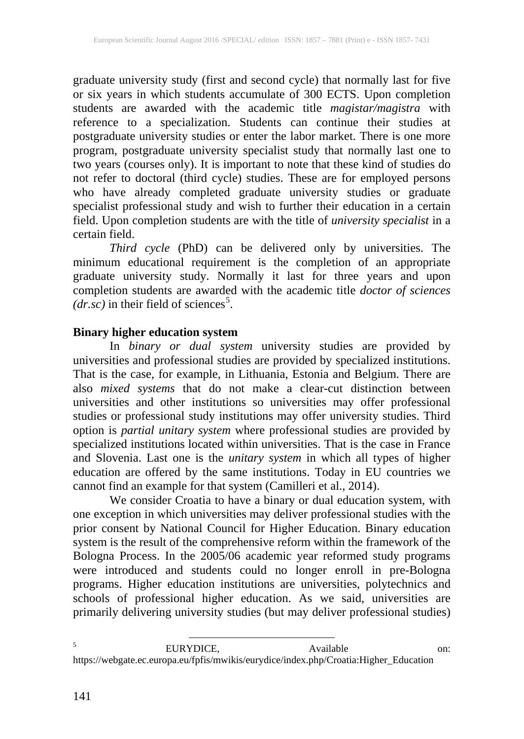graduate university study (first and second cycle) that normally last for five or six years in which students accumulate of 300 ECTS. Upon completion students are awarded with the academic title *magistar/magistra* with reference to a specialization. Students can continue their studies at postgraduate university studies or enter the labor market. There is one more program, postgraduate university specialist study that normally last one to two years (courses only). It is important to note that these kind of studies do not refer to doctoral (third cycle) studies. These are for employed persons who have already completed graduate university studies or graduate specialist professional study and wish to further their education in a certain field. Upon completion students are with the title of *university specialist* in a certain field.

*Third cycle* (PhD) can be delivered only by universities. The minimum educational requirement is the completion of an appropriate graduate university study. Normally it last for three years and upon completion students are awarded with the academic title *doctor of sciences*   $(dr.sc)$  in their field of sciences<sup>[5](#page-1-0)</sup>.

### **Binary higher education system**

In *binary or dual system* university studies are provided by universities and professional studies are provided by specialized institutions. That is the case, for example, in Lithuania, Estonia and Belgium. There are also *mixed systems* that do not make a clear-cut distinction between universities and other institutions so universities may offer professional studies or professional study institutions may offer university studies. Third option is *partial unitary system* where professional studies are provided by specialized institutions located within universities. That is the case in France and Slovenia. Last one is the *unitary system* in which all types of higher education are offered by the same institutions. Today in EU countries we cannot find an example for that system (Camilleri et al., 2014).

<span id="page-4-0"></span>We consider Croatia to have a binary or dual education system, with one exception in which universities may deliver professional studies with the prior consent by National Council for Higher Education. Binary education system is the result of the comprehensive reform within the framework of the Bologna Process. In the 2005/06 academic year reformed study programs were introduced and students could no longer enroll in pre-Bologna programs. Higher education institutions are universities, polytechnics and schools of professional higher education. As we said, universities are primarily delivering university studies (but may deliver professional studies)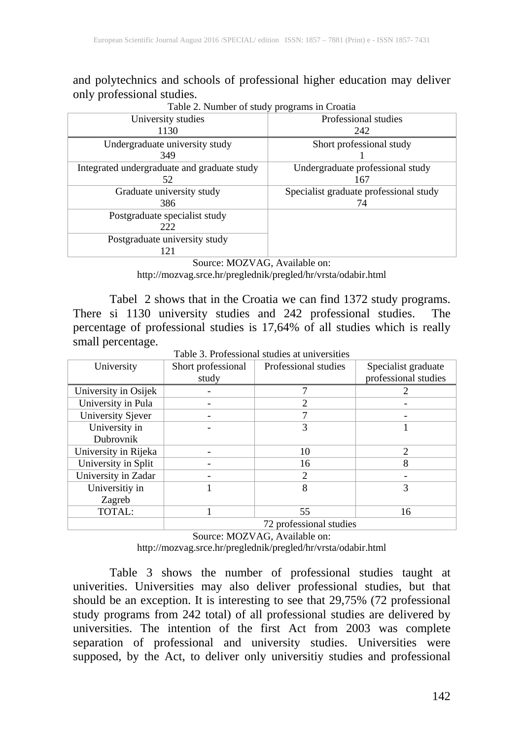and polytechnics and schools of professional higher education may deliver

| University studies<br>1130                        | .<br>Professional studies<br>242             |  |  |
|---------------------------------------------------|----------------------------------------------|--|--|
| Undergraduate university study<br>349             | Short professional study                     |  |  |
| Integrated undergraduate and graduate study<br>52 | Undergraduate professional study<br>167      |  |  |
| Graduate university study<br>386                  | Specialist graduate professional study<br>74 |  |  |
| Postgraduate specialist study<br>222              |                                              |  |  |
| Postgraduate university study<br>121              |                                              |  |  |

Table 2. Number of study programs in Croatia

Source: MOZVAG, Available on: http://mozvag.srce.hr/preglednik/pregled/hr/vrsta/odabir.html

Tabel 2 shows that in the Croatia we can find 1372 study programs. There si 1130 university studies and 242 professional studies. The percentage of professional studies is 17,64% of all studies which is really small percentage.

| I able 3. Professional studies at universities |                    |                      |                      |  |  |  |
|------------------------------------------------|--------------------|----------------------|----------------------|--|--|--|
| University                                     | Short professional | Professional studies | Specialist graduate  |  |  |  |
|                                                | study              |                      | professional studies |  |  |  |
| University in Osijek                           |                    |                      |                      |  |  |  |
| University in Pula                             |                    |                      |                      |  |  |  |
| University Sjever                              |                    |                      |                      |  |  |  |
| University in                                  |                    | 3                    |                      |  |  |  |
| Dubrovnik                                      |                    |                      |                      |  |  |  |
| University in Rijeka                           |                    | 10                   | $\mathfrak{D}$       |  |  |  |
| University in Split                            |                    | 16                   | 8                    |  |  |  |
| University in Zadar                            |                    | 2                    |                      |  |  |  |
| Universitiy in                                 |                    | 8                    | 3                    |  |  |  |
| Zagreb                                         |                    |                      |                      |  |  |  |
| TOTAL:                                         |                    | 55                   | 16                   |  |  |  |

Table 3. Professional studies at universities

72 professional studies

Source: MOZVAG, Available on: http://mozvag.srce.hr/preglednik/pregled/hr/vrsta/odabir.html

Table 3 shows the number of professional studies taught at univerities. Universities may also deliver professional studies, but that should be an exception. It is interesting to see that 29,75% (72 professional study programs from 242 total) of all professional studies are delivered by universities. The intention of the first Act from 2003 was complete separation of professional and university studies. Universities were supposed, by the Act, to deliver only universitiy studies and professional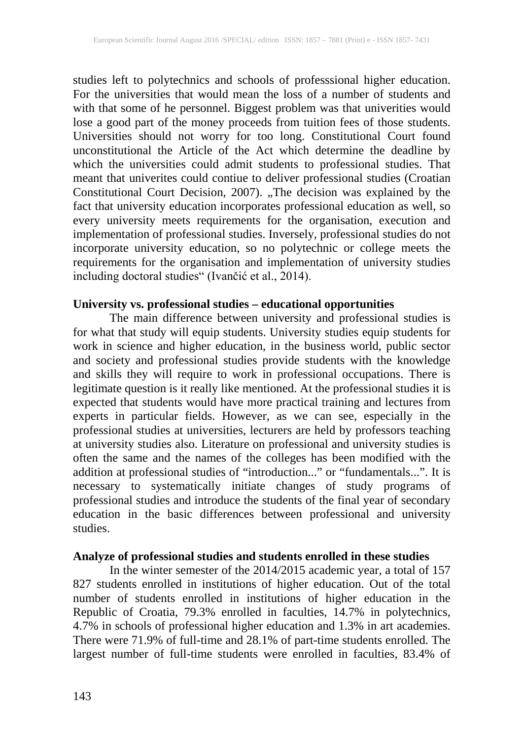studies left to polytechnics and schools of professsional higher education. For the universities that would mean the loss of a number of students and with that some of he personnel. Biggest problem was that univerities would lose a good part of the money proceeds from tuition fees of those students. Universities should not worry for too long. Constitutional Court found unconstitutional the Article of the Act which determine the deadline by which the universities could admit students to professional studies. That meant that univerites could contiue to deliver professional studies (Croatian Constitutional Court Decision, 2007). "The decision was explained by the fact that university education incorporates professional education as well, so every university meets requirements for the organisation, execution and implementation of professional studies. Inversely, professional studies do not incorporate university education, so no polytechnic or college meets the requirements for the organisation and implementation of university studies including doctoral studies" (Ivančić et al., 2014).

#### **University vs. professional studies – educational opportunities**

The main difference between university and professional studies is for what that study will equip students. University studies equip students for work in science and higher education, in the business world, public sector and society and professional studies provide students with the knowledge and skills they will require to work in professional occupations. There is legitimate question is it really like mentioned. At the professional studies it is expected that students would have more practical training and lectures from experts in particular fields. However, as we can see, especially in the professional studies at universities, lecturers are held by professors teaching at university studies also. Literature on professional and university studies is often the same and the names of the colleges has been modified with the addition at professional studies of "introduction..." or "fundamentals...". It is necessary to systematically initiate changes of study programs of professional studies and introduce the students of the final year of secondary education in the basic differences between professional and university studies.

## **Analyze of professional studies and students enrolled in these studies**

In the winter semester of the 2014/2015 academic year, a total of 157 827 students enrolled in institutions of higher education. Out of the total number of students enrolled in institutions of higher education in the Republic of Croatia, 79.3% enrolled in faculties, 14.7% in polytechnics, 4.7% in schools of professional higher education and 1.3% in art academies. There were 71.9% of full-time and 28.1% of part-time students enrolled. The largest number of full-time students were enrolled in faculties, 83.4% of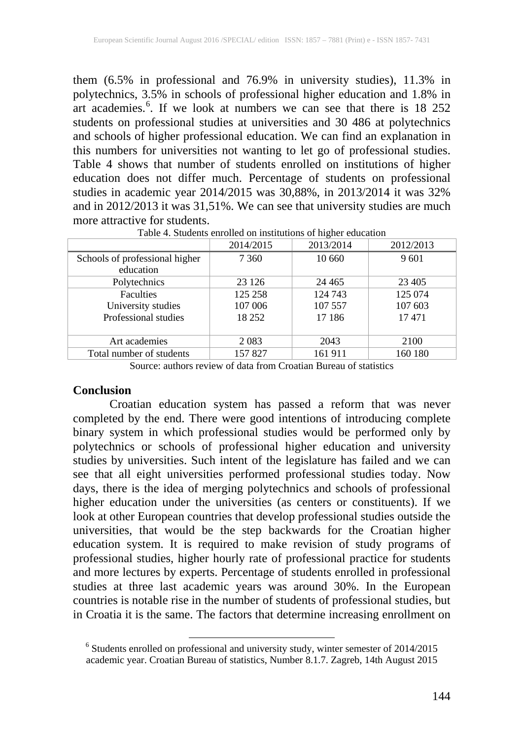them (6.5% in professional and 76.9% in university studies), 11.3% in polytechnics, 3.5% in schools of professional higher education and 1.8% in art academies.<sup>[6](#page-4-0)</sup>. If we look at numbers we can see that there is 18 252 students on professional studies at universities and 30 486 at polytechnics and schools of higher professional education. We can find an explanation in this numbers for universities not wanting to let go of professional studies. Table 4 shows that number of students enrolled on institutions of higher education does not differ much. Percentage of students on professional studies in academic year 2014/2015 was 30,88%, in 2013/2014 it was 32% and in 2012/2013 it was 31,51%. We can see that university studies are much more attractive for students.<br>Table 4. Students enrolled on institutions of higher education

|                                | 2014/2015 | 2013/2014 | 2012/2013 |
|--------------------------------|-----------|-----------|-----------|
| Schools of professional higher | 7 360     | 10 660    | 9601      |
| education                      |           |           |           |
| Polytechnics                   | 23 1 26   | 24 4 65   | 23 4 05   |
| <b>Faculties</b>               | 125 258   | 124 743   | 125 074   |
| University studies             | 107 006   | 107 557   | 107 603   |
| Professional studies           | 18 25 2   | 17 18 6   | 17471     |
|                                |           |           |           |
| Art academies                  | 2 0 8 3   | 2043      | 2100      |
| Total number of students       | 157827    | 161 911   | 160 180   |

Source: authors review of data from Croatian Bureau of statistics

#### **Conclusion**

Croatian education system has passed a reform that was never completed by the end. There were good intentions of introducing complete binary system in which professional studies would be performed only by polytechnics or schools of professional higher education and university studies by universities. Such intent of the legislature has failed and we can see that all eight universities performed professional studies today. Now days, there is the idea of merging polytechnics and schools of professional higher education under the universities (as centers or constituents). If we look at other European countries that develop professional studies outside the universities, that would be the step backwards for the Croatian higher education system. It is required to make revision of study programs of professional studies, higher hourly rate of professional practice for students and more lectures by experts. Percentage of students enrolled in professional studies at three last academic years was around 30%. In the European countries is notable rise in the number of students of professional studies, but in Croatia it is the same. The factors that determine increasing enrollment on

<span id="page-7-0"></span> $6$  Students enrolled on professional and university study, winter semester of 2014/2015 academic year. Croatian Bureau of statistics, Number 8.1.7. Zagreb, 14th August 2015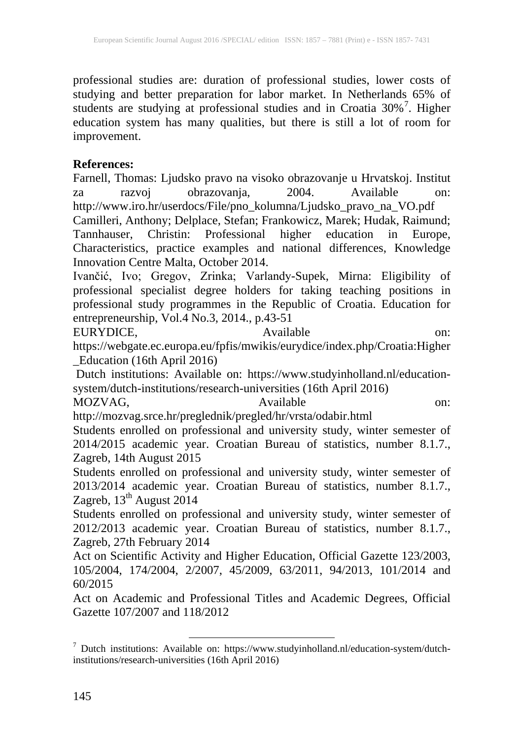professional studies are: duration of professional studies, lower costs of studying and better preparation for labor market. In Netherlands 65% of students are studying at professional studies and in Croatia 30%<sup>[7](#page-7-0)</sup>. Higher education system has many qualities, but there is still a lot of room for improvement.

## **References:**

Farnell, Thomas: Ljudsko pravo na visoko obrazovanje u Hrvatskoj. Institut za razvoj obrazovanja, 2004. Available on: http://www.iro.hr/userdocs/File/pno\_kolumna/Ljudsko\_pravo\_na\_VO.pdf

Camilleri, Anthony; Delplace, Stefan; Frankowicz, Marek; Hudak, Raimund;<br>Tannhauser, Christin: Professional higher education in Europe, Tannhauser, Christin: Professional Characteristics, practice examples and national differences, Knowledge Innovation Centre Malta, October 2014.

Ivančić, Ivo; Gregov, Zrinka; Varlandy-Supek, Mirna: Eligibility of professional specialist degree holders for taking teaching positions in professional study programmes in the Republic of Croatia. Education for entrepreneurship, Vol.4 No.3, 2014., p.43-51

EURYDICE, Available on: https://webgate.ec.europa.eu/fpfis/mwikis/eurydice/index.php/Croatia:Higher \_Education (16th April 2016)

Dutch institutions: Available on: https://www.studyinholland.nl/educationsystem/dutch-institutions/research-universities (16th April 2016)

MOZVAG, Available https://www.facebook.com/

http://mozvag.srce.hr/preglednik/pregled/hr/vrsta/odabir.html

Students enrolled on professional and university study, winter semester of 2014/2015 academic year. Croatian Bureau of statistics, number 8.1.7., Zagreb, 14th August 2015

Students enrolled on professional and university study, winter semester of 2013/2014 academic year. Croatian Bureau of statistics, number 8.1.7., Zagreb,  $13<sup>th</sup>$  August 2014

Students enrolled on professional and university study, winter semester of 2012/2013 academic year. Croatian Bureau of statistics, number 8.1.7., Zagreb, 27th February 2014

Act on Scientific Activity and Higher Education, Official Gazette 123/2003, 105/2004, 174/2004, 2/2007, 45/2009, 63/2011, 94/2013, 101/2014 and 60/2015

Act on Academic and Professional Titles and Academic Degrees, Official Gazette 107/2007 and 118/2012

<sup>7</sup> Dutch institutions: Available on: https://www.studyinholland.nl/education-system/dutchinstitutions/research-universities (16th April 2016)